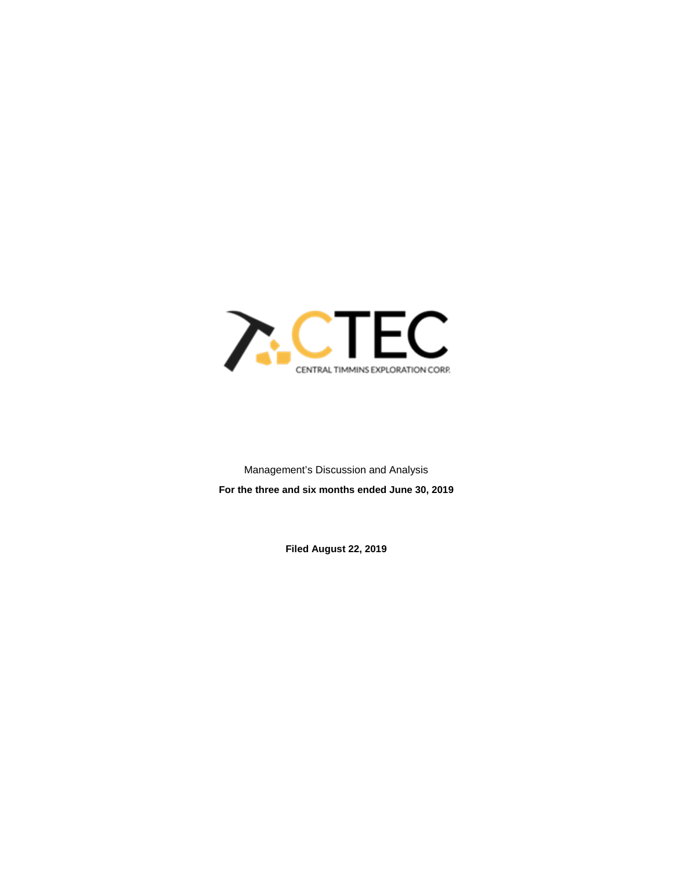

Management's Discussion and Analysis **For the three and six months ended June 30, 2019**

**Filed August 22, 2019**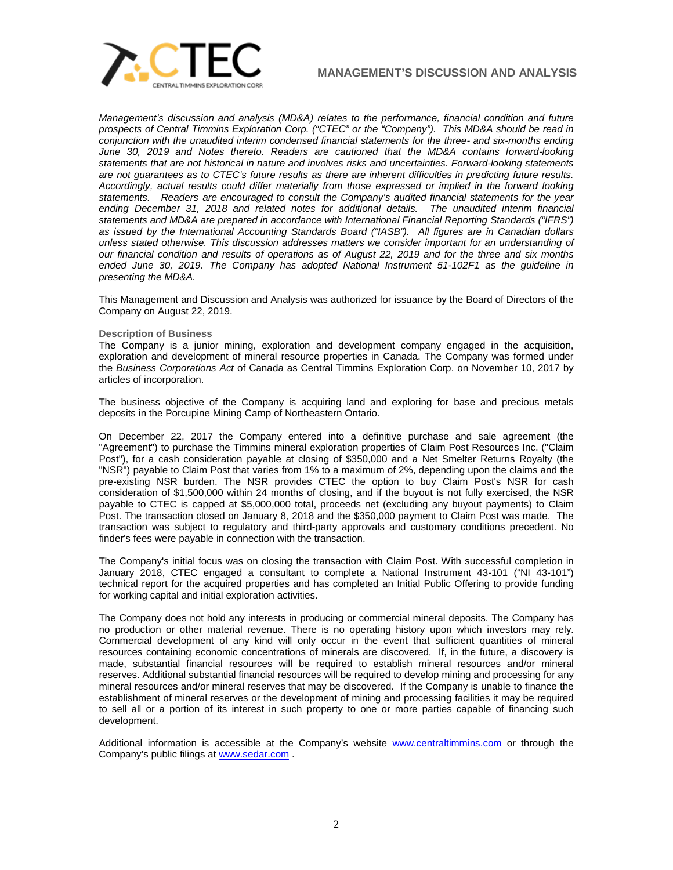

*Management's discussion and analysis (MD&A) relates to the performance, financial condition and future prospects of Central Timmins Exploration Corp. ("CTEC" or the "Company"). This MD&A should be read in conjunction with the unaudited interim condensed financial statements for the three- and six-months ending June 30, 2019 and Notes thereto. Readers are cautioned that the MD&A contains forward-looking statements that are not historical in nature and involves risks and uncertainties. Forward-looking statements are not guarantees as to CTEC's future results as there are inherent difficulties in predicting future results. Accordingly, actual results could differ materially from those expressed or implied in the forward looking statements. Readers are encouraged to consult the Company's audited financial statements for the year ending December 31, 2018 and related notes for additional details. The unaudited interim financial statements and MD&A are prepared in accordance with International Financial Reporting Standards ("IFRS") as issued by the International Accounting Standards Board ("IASB"). All figures are in Canadian dollars unless stated otherwise. This discussion addresses matters we consider important for an understanding of our financial condition and results of operations as of August 22, 2019 and for the three and six months ended June 30, 2019. The Company has adopted National Instrument 51-102F1 as the guideline in presenting the MD&A.*

This Management and Discussion and Analysis was authorized for issuance by the Board of Directors of the Company on August 22, 2019.

## **Description of Business**

The Company is a junior mining, exploration and development company engaged in the acquisition, exploration and development of mineral resource properties in Canada. The Company was formed under the *Business Corporations Act* of Canada as Central Timmins Exploration Corp. on November 10, 2017 by articles of incorporation.

The business objective of the Company is acquiring land and exploring for base and precious metals deposits in the Porcupine Mining Camp of Northeastern Ontario.

On December 22, 2017 the Company entered into a definitive purchase and sale agreement (the "Agreement") to purchase the Timmins mineral exploration properties of Claim Post Resources Inc. ("Claim Post"), for a cash consideration payable at closing of \$350,000 and a Net Smelter Returns Royalty (the "NSR") payable to Claim Post that varies from 1% to a maximum of 2%, depending upon the claims and the pre-existing NSR burden. The NSR provides CTEC the option to buy Claim Post's NSR for cash consideration of \$1,500,000 within 24 months of closing, and if the buyout is not fully exercised, the NSR payable to CTEC is capped at \$5,000,000 total, proceeds net (excluding any buyout payments) to Claim Post. The transaction closed on January 8, 2018 and the \$350,000 payment to Claim Post was made. The transaction was subject to regulatory and third-party approvals and customary conditions precedent. No finder's fees were payable in connection with the transaction.

The Company's initial focus was on closing the transaction with Claim Post. With successful completion in January 2018, CTEC engaged a consultant to complete a National Instrument 43-101 ("NI 43-101") technical report for the acquired properties and has completed an Initial Public Offering to provide funding for working capital and initial exploration activities.

The Company does not hold any interests in producing or commercial mineral deposits. The Company has no production or other material revenue. There is no operating history upon which investors may rely. Commercial development of any kind will only occur in the event that sufficient quantities of mineral resources containing economic concentrations of minerals are discovered. If, in the future, a discovery is made, substantial financial resources will be required to establish mineral resources and/or mineral reserves. Additional substantial financial resources will be required to develop mining and processing for any mineral resources and/or mineral reserves that may be discovered. If the Company is unable to finance the establishment of mineral reserves or the development of mining and processing facilities it may be required to sell all or a portion of its interest in such property to one or more parties capable of financing such development.

Additional information is accessible at the Company's website [www.centraltimmins.com](http://www.centraltimmins.com/) or through the Company's public filings at [www.sedar.com](http://www.sedar.com/) .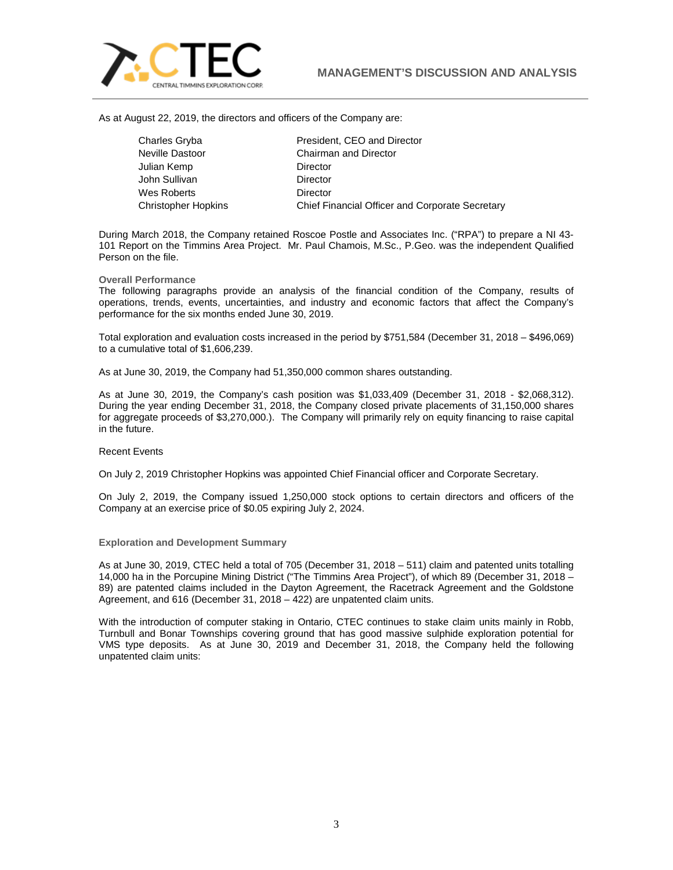

As at August 22, 2019, the directors and officers of the Company are:

Julian Kemp **Director** John Sullivan **Director** Wes Roberts **Director** 

Charles Gryba President, CEO and Director Neville Dastoor Chairman and Director Christopher Hopkins Chief Financial Officer and Corporate Secretary

During March 2018, the Company retained Roscoe Postle and Associates Inc. ("RPA") to prepare a NI 43- 101 Report on the Timmins Area Project. Mr. Paul Chamois, M.Sc., P.Geo. was the independent Qualified Person on the file.

## **Overall Performance**

The following paragraphs provide an analysis of the financial condition of the Company, results of operations, trends, events, uncertainties, and industry and economic factors that affect the Company's performance for the six months ended June 30, 2019.

Total exploration and evaluation costs increased in the period by \$751,584 (December 31, 2018 – \$496,069) to a cumulative total of \$1,606,239.

As at June 30, 2019, the Company had 51,350,000 common shares outstanding.

As at June 30, 2019, the Company's cash position was \$1,033,409 (December 31, 2018 - \$2,068,312). During the year ending December 31, 2018, the Company closed private placements of 31,150,000 shares for aggregate proceeds of \$3,270,000.). The Company will primarily rely on equity financing to raise capital in the future.

## Recent Events

On July 2, 2019 Christopher Hopkins was appointed Chief Financial officer and Corporate Secretary.

On July 2, 2019, the Company issued 1,250,000 stock options to certain directors and officers of the Company at an exercise price of \$0.05 expiring July 2, 2024.

## **Exploration and Development Summary**

As at June 30, 2019, CTEC held a total of 705 (December 31, 2018 – 511) claim and patented units totalling 14,000 ha in the Porcupine Mining District ("The Timmins Area Project"), of which 89 (December 31, 2018 – 89) are patented claims included in the Dayton Agreement, the Racetrack Agreement and the Goldstone Agreement, and 616 (December 31, 2018 – 422) are unpatented claim units.

With the introduction of computer staking in Ontario, CTEC continues to stake claim units mainly in Robb, Turnbull and Bonar Townships covering ground that has good massive sulphide exploration potential for VMS type deposits. As at June 30, 2019 and December 31, 2018, the Company held the following unpatented claim units: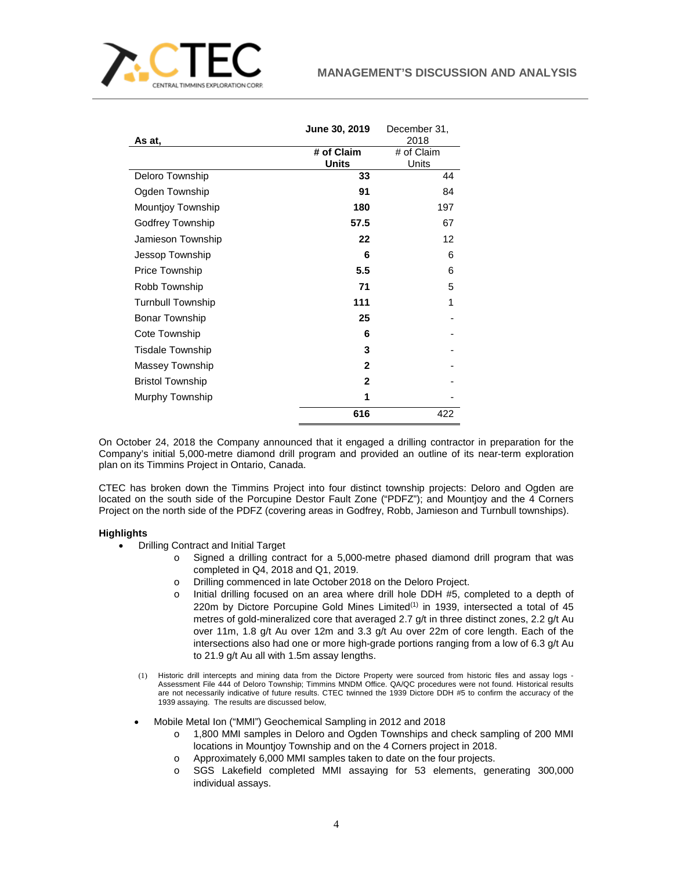

|                          | June 30, 2019 | December 31, |
|--------------------------|---------------|--------------|
| As at,                   |               | 2018         |
|                          | # of Claim    | # of Claim   |
|                          | <b>Units</b>  | Units        |
| Deloro Township          | 33            | 44           |
| Ogden Township           | 91            | 84           |
| <b>Mountjoy Township</b> | 180           | 197          |
| Godfrey Township         | 57.5          | 67           |
| Jamieson Township        | 22            | 12           |
| Jessop Township          | 6             | 6            |
| Price Township           | 5.5           | 6            |
| Robb Township            | 71            | 5            |
| <b>Turnbull Township</b> | 111           | 1            |
| <b>Bonar Township</b>    | 25            |              |
| Cote Township            | 6             |              |
| <b>Tisdale Township</b>  | 3             |              |
| Massey Township          | $\mathbf{2}$  |              |
| <b>Bristol Township</b>  | $\mathbf{2}$  |              |
| Murphy Township          | 1             |              |
|                          | 616           | 422          |

On October 24, 2018 the Company announced that it engaged a drilling contractor in preparation for the Company's initial 5,000-metre diamond drill program and provided an outline of its near-term exploration plan on its Timmins Project in Ontario, Canada.

CTEC has broken down the Timmins Project into four distinct township projects: Deloro and Ogden are located on the south side of the Porcupine Destor Fault Zone ("PDFZ"); and Mountjoy and the 4 Corners Project on the north side of the PDFZ (covering areas in Godfrey, Robb, Jamieson and Turnbull townships).

# **Highlights**

- Drilling Contract and Initial Target
	- o Signed a drilling contract for a 5,000-metre phased diamond drill program that was completed in Q4, 2018 and Q1, 2019.
	- o Drilling commenced in late October 2018 on the Deloro Project.
	- o Initial drilling focused on an area where drill hole DDH #5, completed to a depth of 220m by Dictore Porcupine Gold Mines Limited $(1)$  in 1939, intersected a total of 45 metres of gold-mineralized core that averaged 2.7 g/t in three distinct zones, 2.2 g/t Au over 11m, 1.8 g/t Au over 12m and 3.3 g/t Au over 22m of core length. Each of the intersections also had one or more high-grade portions ranging from a low of 6.3 g/t Au to 21.9 g/t Au all with 1.5m assay lengths.
	- (1) Historic drill intercepts and mining data from the Dictore Property were sourced from historic files and assay logs Assessment File 444 of Deloro Township; Timmins MNDM Office. QA/QC procedures were not found. Historical results are not necessarily indicative of future results. CTEC twinned the 1939 Dictore DDH #5 to confirm the accuracy of the 1939 assaying. The results are discussed below,
	- Mobile Metal Ion ("MMI") Geochemical Sampling in 2012 and 2018
		- o 1,800 MMI samples in Deloro and Ogden Townships and check sampling of 200 MMI locations in Mountjoy Township and on the 4 Corners project in 2018.
		- o Approximately 6,000 MMI samples taken to date on the four projects.<br>
		o SGS Lakefield completed MMI assaving for 53 elements. aer
		- SGS Lakefield completed MMI assaying for 53 elements, generating 300,000 individual assays.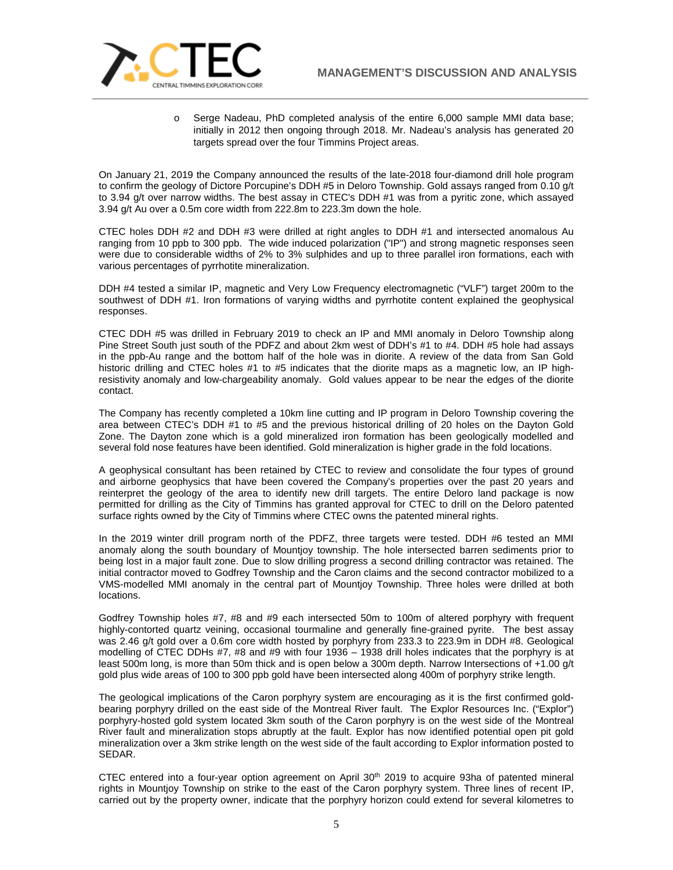



o Serge Nadeau, PhD completed analysis of the entire 6,000 sample MMI data base; initially in 2012 then ongoing through 2018. Mr. Nadeau's analysis has generated 20 targets spread over the four Timmins Project areas.

On January 21, 2019 the Company announced the results of the late-2018 four-diamond drill hole program to confirm the geology of Dictore Porcupine's DDH #5 in Deloro Township. Gold assays ranged from 0.10 g/t to 3.94 g/t over narrow widths. The best assay in CTEC's DDH #1 was from a pyritic zone, which assayed 3.94 g/t Au over a 0.5m core width from 222.8m to 223.3m down the hole.

CTEC holes DDH #2 and DDH #3 were drilled at right angles to DDH #1 and intersected anomalous Au ranging from 10 ppb to 300 ppb. The wide induced polarization ("IP") and strong magnetic responses seen were due to considerable widths of 2% to 3% sulphides and up to three parallel iron formations, each with various percentages of pyrrhotite mineralization.

DDH #4 tested a similar IP, magnetic and Very Low Frequency electromagnetic ("VLF") target 200m to the southwest of DDH #1. Iron formations of varying widths and pyrrhotite content explained the geophysical responses.

CTEC DDH #5 was drilled in February 2019 to check an IP and MMI anomaly in Deloro Township along Pine Street South just south of the PDFZ and about 2km west of DDH's #1 to #4. DDH #5 hole had assays in the ppb-Au range and the bottom half of the hole was in diorite. A review of the data from San Gold historic drilling and CTEC holes #1 to #5 indicates that the diorite maps as a magnetic low, an IP highresistivity anomaly and low-chargeability anomaly. Gold values appear to be near the edges of the diorite contact.

The Company has recently completed a 10km line cutting and IP program in Deloro Township covering the area between CTEC's DDH #1 to #5 and the previous historical drilling of 20 holes on the Dayton Gold Zone. The Dayton zone which is a gold mineralized iron formation has been geologically modelled and several fold nose features have been identified. Gold mineralization is higher grade in the fold locations.

A geophysical consultant has been retained by CTEC to review and consolidate the four types of ground and airborne geophysics that have been covered the Company's properties over the past 20 years and reinterpret the geology of the area to identify new drill targets. The entire Deloro land package is now permitted for drilling as the City of Timmins has granted approval for CTEC to drill on the Deloro patented surface rights owned by the City of Timmins where CTEC owns the patented mineral rights.

In the 2019 winter drill program north of the PDFZ, three targets were tested. DDH #6 tested an MMI anomaly along the south boundary of Mountjoy township. The hole intersected barren sediments prior to being lost in a major fault zone. Due to slow drilling progress a second drilling contractor was retained. The initial contractor moved to Godfrey Township and the Caron claims and the second contractor mobilized to a VMS-modelled MMI anomaly in the central part of Mountjoy Township. Three holes were drilled at both locations.

Godfrey Township holes #7, #8 and #9 each intersected 50m to 100m of altered porphyry with frequent highly-contorted quartz veining, occasional tourmaline and generally fine-grained pyrite. The best assay was 2.46 g/t gold over a 0.6m core width hosted by porphyry from 233.3 to 223.9m in DDH #8. Geological modelling of CTEC DDHs #7, #8 and #9 with four 1936 – 1938 drill holes indicates that the porphyry is at least 500m long, is more than 50m thick and is open below a 300m depth. Narrow Intersections of +1.00 g/t gold plus wide areas of 100 to 300 ppb gold have been intersected along 400m of porphyry strike length.

The geological implications of the Caron porphyry system are encouraging as it is the first confirmed goldbearing porphyry drilled on the east side of the Montreal River fault. The Explor Resources Inc. ("Explor") porphyry-hosted gold system located 3km south of the Caron porphyry is on the west side of the Montreal River fault and mineralization stops abruptly at the fault. Explor has now identified potential open pit gold mineralization over a 3km strike length on the west side of the fault according to Explor information posted to SEDAR.

CTEC entered into a four-year option agreement on April 30<sup>th</sup> 2019 to acquire 93ha of patented mineral rights in Mountjoy Township on strike to the east of the Caron porphyry system. Three lines of recent IP, carried out by the property owner, indicate that the porphyry horizon could extend for several kilometres to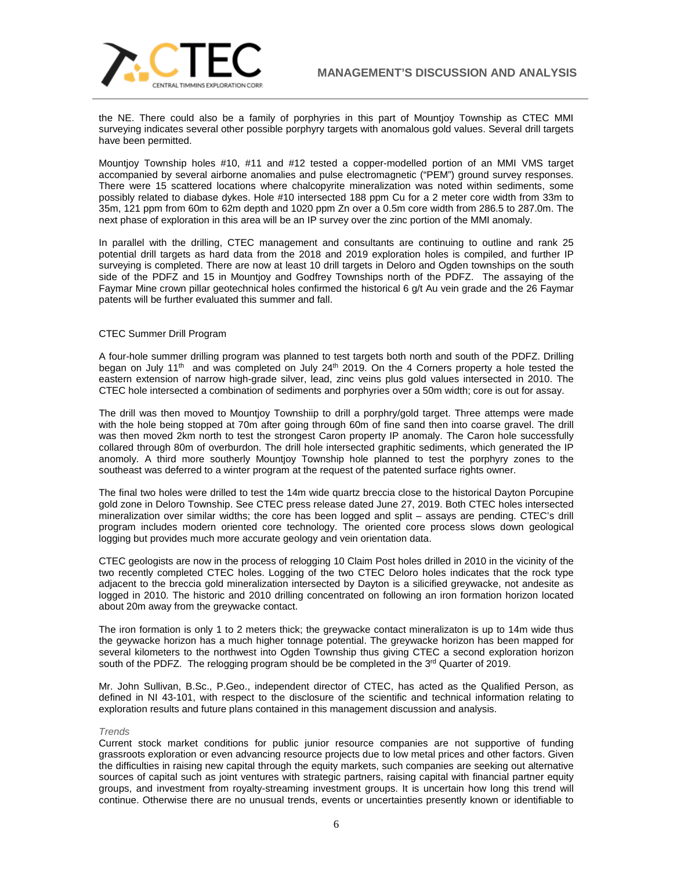

the NE. There could also be a family of porphyries in this part of Mountjoy Township as CTEC MMI surveying indicates several other possible porphyry targets with anomalous gold values. Several drill targets have been permitted.

Mountjoy Township holes #10, #11 and #12 tested a copper-modelled portion of an MMI VMS target accompanied by several airborne anomalies and pulse electromagnetic ("PEM") ground survey responses. There were 15 scattered locations where chalcopyrite mineralization was noted within sediments, some possibly related to diabase dykes. Hole #10 intersected 188 ppm Cu for a 2 meter core width from 33m to 35m, 121 ppm from 60m to 62m depth and 1020 ppm Zn over a 0.5m core width from 286.5 to 287.0m. The next phase of exploration in this area will be an IP survey over the zinc portion of the MMI anomaly.

In parallel with the drilling, CTEC management and consultants are continuing to outline and rank 25 potential drill targets as hard data from the 2018 and 2019 exploration holes is compiled, and further IP surveying is completed. There are now at least 10 drill targets in Deloro and Ogden townships on the south side of the PDFZ and 15 in Mountjoy and Godfrey Townships north of the PDFZ. The assaying of the Faymar Mine crown pillar geotechnical holes confirmed the historical 6 g/t Au vein grade and the 26 Faymar patents will be further evaluated this summer and fall.

## CTEC Summer Drill Program

A four-hole summer drilling program was planned to test targets both north and south of the PDFZ. Drilling began on July 11<sup>th</sup> and was completed on July 24<sup>th</sup> 2019. On the 4 Corners property a hole tested the eastern extension of narrow high-grade silver, lead, zinc veins plus gold values intersected in 2010. The CTEC hole intersected a combination of sediments and porphyries over a 50m width; core is out for assay.

The drill was then moved to Mountjoy Townshiip to drill a porphry/gold target. Three attemps were made with the hole being stopped at 70m after going through 60m of fine sand then into coarse gravel. The drill was then moved 2km north to test the strongest Caron property IP anomaly. The Caron hole successfully collared through 80m of overburdon. The drill hole intersected graphitic sediments, which generated the IP anomoly. A third more southerly Mountjoy Township hole planned to test the porphyry zones to the southeast was deferred to a winter program at the request of the patented surface rights owner.

The final two holes were drilled to test the 14m wide quartz breccia close to the historical Dayton Porcupine gold zone in Deloro Township. See CTEC press release dated June 27, 2019. Both CTEC holes intersected mineralization over similar widths; the core has been logged and split – assays are pending. CTEC's drill program includes modern oriented core technology. The oriented core process slows down geological logging but provides much more accurate geology and vein orientation data.

CTEC geologists are now in the process of relogging 10 Claim Post holes drilled in 2010 in the vicinity of the two recently completed CTEC holes. Logging of the two CTEC Deloro holes indicates that the rock type adjacent to the breccia gold mineralization intersected by Dayton is a silicified greywacke, not andesite as logged in 2010. The historic and 2010 drilling concentrated on following an iron formation horizon located about 20m away from the greywacke contact.

The iron formation is only 1 to 2 meters thick; the greywacke contact mineralizaton is up to 14m wide thus the geywacke horizon has a much higher tonnage potential. The greywacke horizon has been mapped for several kilometers to the northwest into Ogden Township thus giving CTEC a second exploration horizon south of the PDFZ. The relogging program should be be completed in the  $3<sup>rd</sup>$  Quarter of 2019.

Mr. John Sullivan, B.Sc., P.Geo., independent director of CTEC, has acted as the Qualified Person, as defined in NI 43-101, with respect to the disclosure of the scientific and technical information relating to exploration results and future plans contained in this management discussion and analysis.

## *Trends*

Current stock market conditions for public junior resource companies are not supportive of funding grassroots exploration or even advancing resource projects due to low metal prices and other factors. Given the difficulties in raising new capital through the equity markets, such companies are seeking out alternative sources of capital such as joint ventures with strategic partners, raising capital with financial partner equity groups, and investment from royalty-streaming investment groups. It is uncertain how long this trend will continue. Otherwise there are no unusual trends, events or uncertainties presently known or identifiable to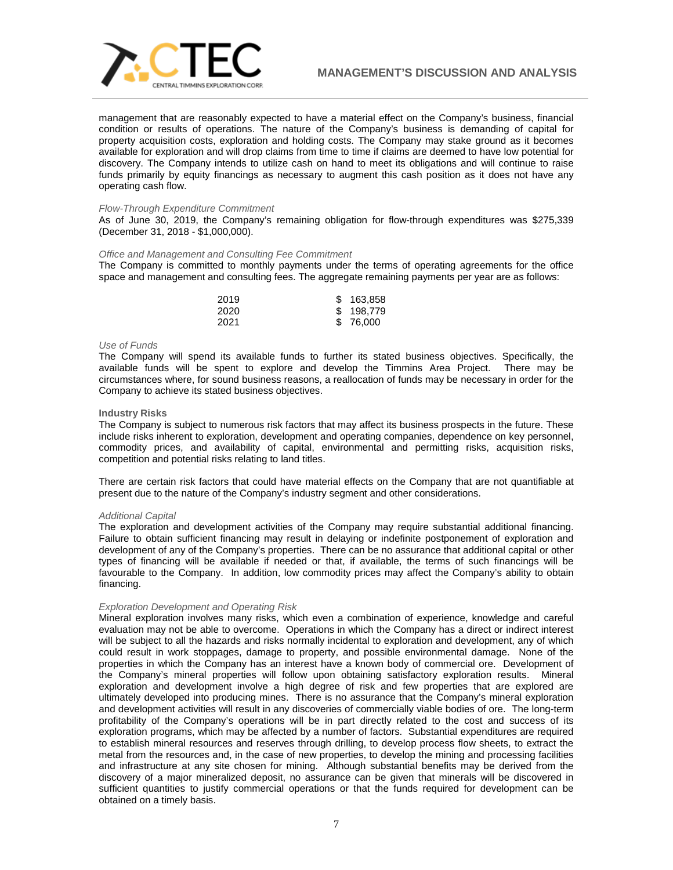

management that are reasonably expected to have a material effect on the Company's business, financial condition or results of operations. The nature of the Company's business is demanding of capital for property acquisition costs, exploration and holding costs. The Company may stake ground as it becomes available for exploration and will drop claims from time to time if claims are deemed to have low potential for discovery. The Company intends to utilize cash on hand to meet its obligations and will continue to raise funds primarily by equity financings as necessary to augment this cash position as it does not have any operating cash flow.

#### *Flow-Through Expenditure Commitment*

As of June 30, 2019, the Company's remaining obligation for flow-through expenditures was \$275,339 (December 31, 2018 - \$1,000,000).

## *Office and Management and Consulting Fee Commitment*

The Company is committed to monthly payments under the terms of operating agreements for the office space and management and consulting fees. The aggregate remaining payments per year are as follows:

| 2019 | \$163,858 |
|------|-----------|
| 2020 | \$198,779 |
| 2021 | \$ 76,000 |

#### *Use of Funds*

The Company will spend its available funds to further its stated business objectives. Specifically, the available funds will be spent to explore and develop the Timmins Area Project. There may be circumstances where, for sound business reasons, a reallocation of funds may be necessary in order for the Company to achieve its stated business objectives.

#### **Industry Risks**

The Company is subject to numerous risk factors that may affect its business prospects in the future. These include risks inherent to exploration, development and operating companies, dependence on key personnel, commodity prices, and availability of capital, environmental and permitting risks, acquisition risks, competition and potential risks relating to land titles.

There are certain risk factors that could have material effects on the Company that are not quantifiable at present due to the nature of the Company's industry segment and other considerations.

### *Additional Capital*

The exploration and development activities of the Company may require substantial additional financing. Failure to obtain sufficient financing may result in delaying or indefinite postponement of exploration and development of any of the Company's properties. There can be no assurance that additional capital or other types of financing will be available if needed or that, if available, the terms of such financings will be favourable to the Company. In addition, low commodity prices may affect the Company's ability to obtain financing.

## *Exploration Development and Operating Risk*

Mineral exploration involves many risks, which even a combination of experience, knowledge and careful evaluation may not be able to overcome. Operations in which the Company has a direct or indirect interest will be subject to all the hazards and risks normally incidental to exploration and development, any of which could result in work stoppages, damage to property, and possible environmental damage. None of the properties in which the Company has an interest have a known body of commercial ore. Development of the Company's mineral properties will follow upon obtaining satisfactory exploration results. Mineral exploration and development involve a high degree of risk and few properties that are explored are ultimately developed into producing mines. There is no assurance that the Company's mineral exploration and development activities will result in any discoveries of commercially viable bodies of ore. The long-term profitability of the Company's operations will be in part directly related to the cost and success of its exploration programs, which may be affected by a number of factors. Substantial expenditures are required to establish mineral resources and reserves through drilling, to develop process flow sheets, to extract the metal from the resources and, in the case of new properties, to develop the mining and processing facilities and infrastructure at any site chosen for mining. Although substantial benefits may be derived from the discovery of a major mineralized deposit, no assurance can be given that minerals will be discovered in sufficient quantities to justify commercial operations or that the funds required for development can be obtained on a timely basis.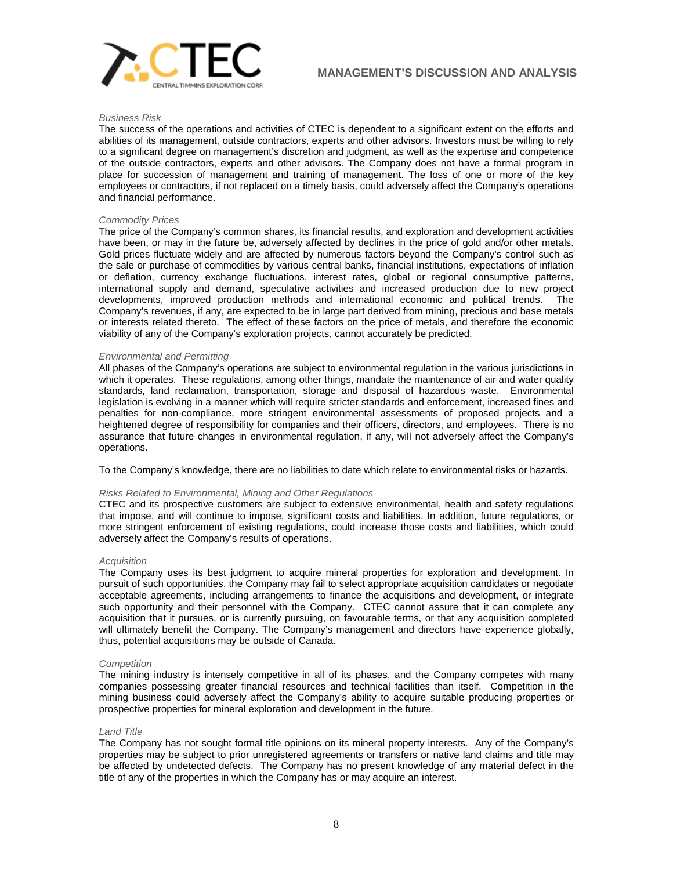

## *Business Risk*

The success of the operations and activities of CTEC is dependent to a significant extent on the efforts and abilities of its management, outside contractors, experts and other advisors. Investors must be willing to rely to a significant degree on management's discretion and judgment, as well as the expertise and competence of the outside contractors, experts and other advisors. The Company does not have a formal program in place for succession of management and training of management. The loss of one or more of the key employees or contractors, if not replaced on a timely basis, could adversely affect the Company's operations and financial performance.

## *Commodity Prices*

The price of the Company's common shares, its financial results, and exploration and development activities have been, or may in the future be, adversely affected by declines in the price of gold and/or other metals. Gold prices fluctuate widely and are affected by numerous factors beyond the Company's control such as the sale or purchase of commodities by various central banks, financial institutions, expectations of inflation or deflation, currency exchange fluctuations, interest rates, global or regional consumptive patterns, international supply and demand, speculative activities and increased production due to new project developments, improved production methods and international economic and political trends. The Company's revenues, if any, are expected to be in large part derived from mining, precious and base metals or interests related thereto. The effect of these factors on the price of metals, and therefore the economic viability of any of the Company's exploration projects, cannot accurately be predicted.

## *Environmental and Permitting*

All phases of the Company's operations are subject to environmental regulation in the various jurisdictions in which it operates. These regulations, among other things, mandate the maintenance of air and water quality standards, land reclamation, transportation, storage and disposal of hazardous waste. Environmental legislation is evolving in a manner which will require stricter standards and enforcement, increased fines and penalties for non-compliance, more stringent environmental assessments of proposed projects and a heightened degree of responsibility for companies and their officers, directors, and employees. There is no assurance that future changes in environmental regulation, if any, will not adversely affect the Company's operations.

To the Company's knowledge, there are no liabilities to date which relate to environmental risks or hazards.

## *Risks Related to Environmental, Mining and Other Regulations*

CTEC and its prospective customers are subject to extensive environmental, health and safety regulations that impose, and will continue to impose, significant costs and liabilities. In addition, future regulations, or more stringent enforcement of existing regulations, could increase those costs and liabilities, which could adversely affect the Company's results of operations.

## *Acquisition*

The Company uses its best judgment to acquire mineral properties for exploration and development. In pursuit of such opportunities, the Company may fail to select appropriate acquisition candidates or negotiate acceptable agreements, including arrangements to finance the acquisitions and development, or integrate such opportunity and their personnel with the Company. CTEC cannot assure that it can complete any acquisition that it pursues, or is currently pursuing, on favourable terms, or that any acquisition completed will ultimately benefit the Company. The Company's management and directors have experience globally, thus, potential acquisitions may be outside of Canada.

## *Competition*

The mining industry is intensely competitive in all of its phases, and the Company competes with many companies possessing greater financial resources and technical facilities than itself. Competition in the mining business could adversely affect the Company's ability to acquire suitable producing properties or prospective properties for mineral exploration and development in the future.

## *Land Title*

The Company has not sought formal title opinions on its mineral property interests. Any of the Company's properties may be subject to prior unregistered agreements or transfers or native land claims and title may be affected by undetected defects. The Company has no present knowledge of any material defect in the title of any of the properties in which the Company has or may acquire an interest.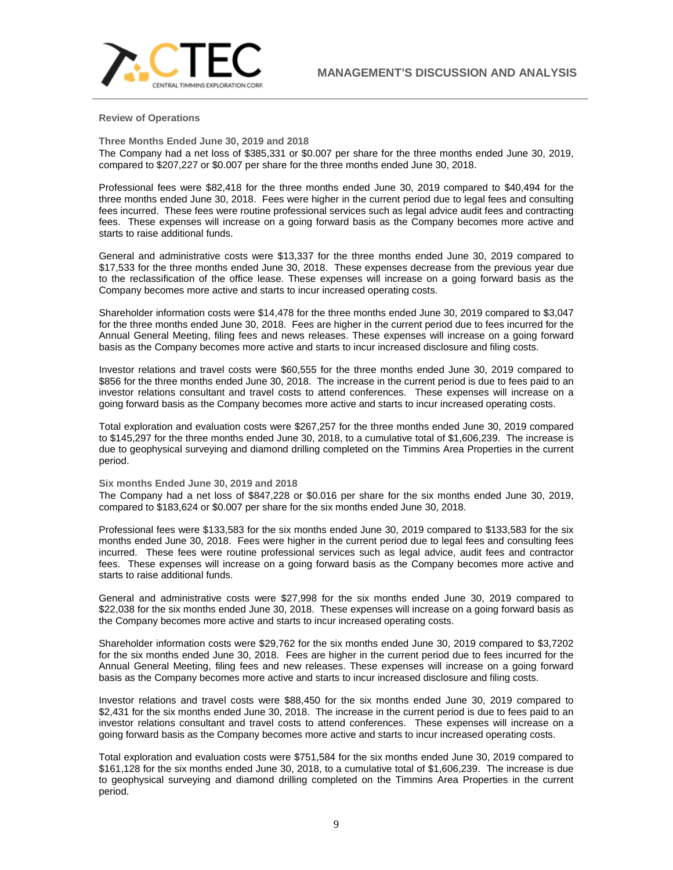**Review of Operations**

**Three Months Ended June 30, 2019 and 2018**

The Company had a net loss of \$385,331 or \$0.007 per share for the three months ended June 30, 2019, compared to \$207,227 or \$0.007 per share for the three months ended June 30, 2018.

Professional fees were \$82,418 for the three months ended June 30, 2019 compared to \$40,494 for the three months ended June 30, 2018. Fees were higher in the current period due to legal fees and consulting fees incurred. These fees were routine professional services such as legal advice audit fees and contracting fees. These expenses will increase on a going forward basis as the Company becomes more active and starts to raise additional funds.

General and administrative costs were \$13,337 for the three months ended June 30, 2019 compared to \$17,533 for the three months ended June 30, 2018. These expenses decrease from the previous year due to the reclassification of the office lease. These expenses will increase on a going forward basis as the Company becomes more active and starts to incur increased operating costs.

Shareholder information costs were \$14,478 for the three months ended June 30, 2019 compared to \$3,047 for the three months ended June 30, 2018. Fees are higher in the current period due to fees incurred for the Annual General Meeting, filing fees and news releases. These expenses will increase on a going forward basis as the Company becomes more active and starts to incur increased disclosure and filing costs.

Investor relations and travel costs were \$60,555 for the three months ended June 30, 2019 compared to \$856 for the three months ended June 30, 2018. The increase in the current period is due to fees paid to an investor relations consultant and travel costs to attend conferences. These expenses will increase on a going forward basis as the Company becomes more active and starts to incur increased operating costs.

Total exploration and evaluation costs were \$267,257 for the three months ended June 30, 2019 compared to \$145,297 for the three months ended June 30, 2018, to a cumulative total of \$1,606,239. The increase is due to geophysical surveying and diamond drilling completed on the Timmins Area Properties in the current period.

## **Six months Ended June 30, 2019 and 2018**

The Company had a net loss of \$847,228 or \$0.016 per share for the six months ended June 30, 2019, compared to \$183,624 or \$0.007 per share for the six months ended June 30, 2018.

Professional fees were \$133,583 for the six months ended June 30, 2019 compared to \$133,583 for the six months ended June 30, 2018. Fees were higher in the current period due to legal fees and consulting fees incurred. These fees were routine professional services such as legal advice, audit fees and contractor fees. These expenses will increase on a going forward basis as the Company becomes more active and starts to raise additional funds.

General and administrative costs were \$27,998 for the six months ended June 30, 2019 compared to \$22,038 for the six months ended June 30, 2018. These expenses will increase on a going forward basis as the Company becomes more active and starts to incur increased operating costs.

Shareholder information costs were \$29,762 for the six months ended June 30, 2019 compared to \$3,7202 for the six months ended June 30, 2018. Fees are higher in the current period due to fees incurred for the Annual General Meeting, filing fees and new releases. These expenses will increase on a going forward basis as the Company becomes more active and starts to incur increased disclosure and filing costs.

Investor relations and travel costs were \$88,450 for the six months ended June 30, 2019 compared to \$2,431 for the six months ended June 30, 2018. The increase in the current period is due to fees paid to an investor relations consultant and travel costs to attend conferences. These expenses will increase on a going forward basis as the Company becomes more active and starts to incur increased operating costs.

Total exploration and evaluation costs were \$751,584 for the six months ended June 30, 2019 compared to \$161,128 for the six months ended June 30, 2018, to a cumulative total of \$1,606,239. The increase is due to geophysical surveying and diamond drilling completed on the Timmins Area Properties in the current period.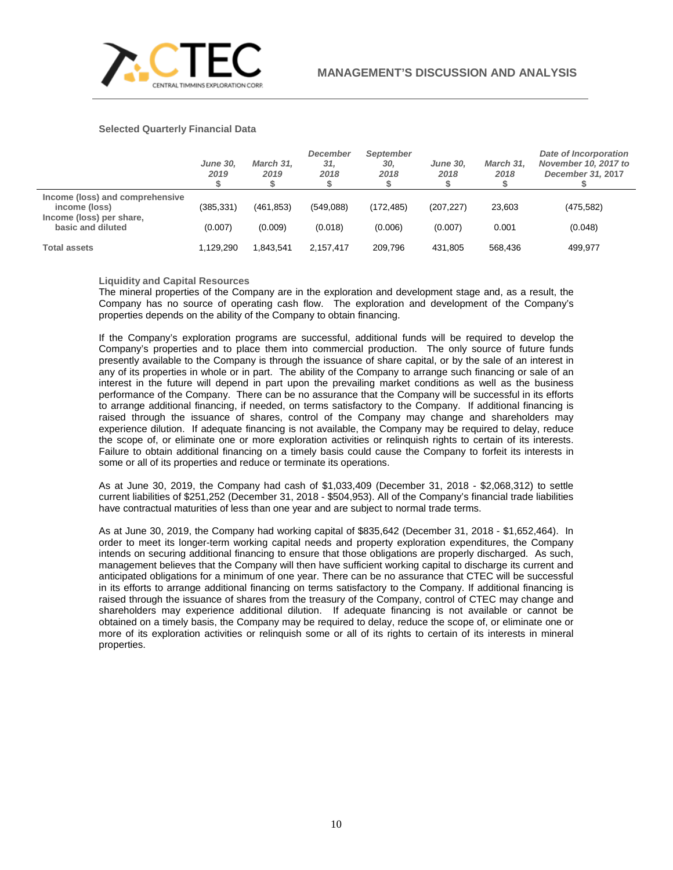

## **Selected Quarterly Financial Data**

|                                                                              | <b>June 30.</b><br>2019 | March 31.<br>2019 | December<br>31,<br>2018 | September<br>30.<br>2018 | <b>June 30.</b><br>2018 | March 31.<br>2018 | <b>Date of Incorporation</b><br>November 10, 2017 to<br>December 31, 2017 |
|------------------------------------------------------------------------------|-------------------------|-------------------|-------------------------|--------------------------|-------------------------|-------------------|---------------------------------------------------------------------------|
| Income (loss) and comprehensive<br>income (loss)<br>Income (loss) per share, | (385, 331)              | (461, 853)        | (549,088)               | (172.485)                | (207, 227)              | 23,603            | (475, 582)                                                                |
| basic and diluted                                                            | (0.007)                 | (0.009)           | (0.018)                 | (0.006)                  | (0.007)                 | 0.001             | (0.048)                                                                   |
| <b>Total assets</b>                                                          | 1,129,290               | 1.843.541         | 2.157.417               | 209.796                  | 431.805                 | 568,436           | 499,977                                                                   |

**Liquidity and Capital Resources**

The mineral properties of the Company are in the exploration and development stage and, as a result, the Company has no source of operating cash flow. The exploration and development of the Company's properties depends on the ability of the Company to obtain financing.

If the Company's exploration programs are successful, additional funds will be required to develop the Company's properties and to place them into commercial production. The only source of future funds presently available to the Company is through the issuance of share capital, or by the sale of an interest in any of its properties in whole or in part. The ability of the Company to arrange such financing or sale of an interest in the future will depend in part upon the prevailing market conditions as well as the business performance of the Company. There can be no assurance that the Company will be successful in its efforts to arrange additional financing, if needed, on terms satisfactory to the Company. If additional financing is raised through the issuance of shares, control of the Company may change and shareholders may experience dilution. If adequate financing is not available, the Company may be required to delay, reduce the scope of, or eliminate one or more exploration activities or relinquish rights to certain of its interests. Failure to obtain additional financing on a timely basis could cause the Company to forfeit its interests in some or all of its properties and reduce or terminate its operations.

As at June 30, 2019, the Company had cash of \$1,033,409 (December 31, 2018 - \$2,068,312) to settle current liabilities of \$251,252 (December 31, 2018 - \$504,953). All of the Company's financial trade liabilities have contractual maturities of less than one year and are subject to normal trade terms.

As at June 30, 2019, the Company had working capital of \$835,642 (December 31, 2018 - \$1,652,464). In order to meet its longer-term working capital needs and property exploration expenditures, the Company intends on securing additional financing to ensure that those obligations are properly discharged. As such, management believes that the Company will then have sufficient working capital to discharge its current and anticipated obligations for a minimum of one year. There can be no assurance that CTEC will be successful in its efforts to arrange additional financing on terms satisfactory to the Company. If additional financing is raised through the issuance of shares from the treasury of the Company, control of CTEC may change and shareholders may experience additional dilution. If adequate financing is not available or cannot be obtained on a timely basis, the Company may be required to delay, reduce the scope of, or eliminate one or more of its exploration activities or relinquish some or all of its rights to certain of its interests in mineral properties.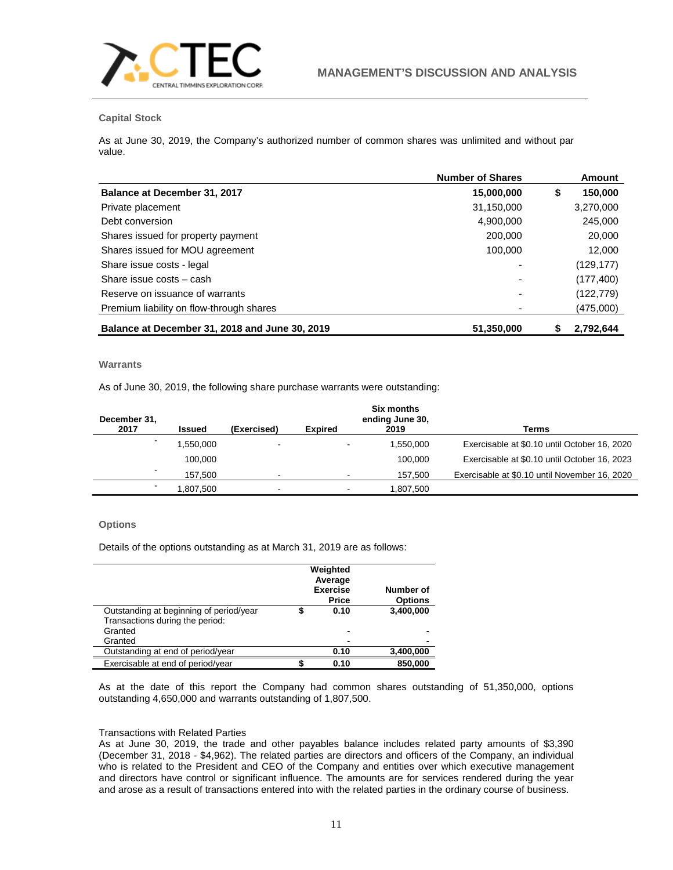

## **Capital Stock**

As at June 30, 2019, the Company's authorized number of common shares was unlimited and without par value.

|                                                | <b>Number of Shares</b> | <b>Amount</b> |
|------------------------------------------------|-------------------------|---------------|
| Balance at December 31, 2017                   | 15,000,000              | \$<br>150,000 |
| Private placement                              | 31,150,000              | 3,270,000     |
| Debt conversion                                | 4,900,000               | 245,000       |
| Shares issued for property payment             | 200,000                 | 20,000        |
| Shares issued for MOU agreement                | 100,000                 | 12,000        |
| Share issue costs - legal                      |                         | (129, 177)    |
| Share issue costs - cash                       |                         | (177, 400)    |
| Reserve on issuance of warrants                |                         | (122, 779)    |
| Premium liability on flow-through shares       |                         | (475,000)     |
| Balance at December 31, 2018 and June 30, 2019 | 51,350,000              | 2,792,644     |

# **Warrants**

As of June 30, 2019, the following share purchase warrants were outstanding:

| December 31,<br>2017     | <b>Issued</b> | (Exercised)              | <b>Expired</b> | Six months<br>ending June 30,<br>2019 | Terms                                         |
|--------------------------|---------------|--------------------------|----------------|---------------------------------------|-----------------------------------------------|
| $\overline{\phantom{0}}$ | .550,000      | $\overline{\phantom{a}}$ |                | 1,550,000                             | Exercisable at \$0.10 until October 16, 2020  |
|                          | 100.000       |                          |                | 100.000                               | Exercisable at \$0.10 until October 16, 2023  |
| $\blacksquare$           | 157,500       | $\overline{\phantom{0}}$ |                | 157,500                               | Exercisable at \$0.10 until November 16, 2020 |
|                          | .807.500      | $\overline{\phantom{0}}$ |                | 1.807.500                             |                                               |

## **Options**

Details of the options outstanding as at March 31, 2019 are as follows:

|                                         | Weighted<br>Average<br><b>Exercise</b><br><b>Price</b> | Number of<br><b>Options</b> |
|-----------------------------------------|--------------------------------------------------------|-----------------------------|
| Outstanding at beginning of period/year | 0.10                                                   | 3,400,000                   |
| Transactions during the period:         |                                                        |                             |
| Granted                                 | $\overline{\phantom{0}}$                               |                             |
| Granted                                 |                                                        |                             |
| Outstanding at end of period/year       | 0.10                                                   | 3,400,000                   |
| Exercisable at end of period/year       | 0.10                                                   | 850,000                     |

As at the date of this report the Company had common shares outstanding of 51,350,000, options outstanding 4,650,000 and warrants outstanding of 1,807,500.

## Transactions with Related Parties

As at June 30, 2019, the trade and other payables balance includes related party amounts of \$3,390 (December 31, 2018 - \$4,962). The related parties are directors and officers of the Company, an individual who is related to the President and CEO of the Company and entities over which executive management and directors have control or significant influence. The amounts are for services rendered during the year and arose as a result of transactions entered into with the related parties in the ordinary course of business.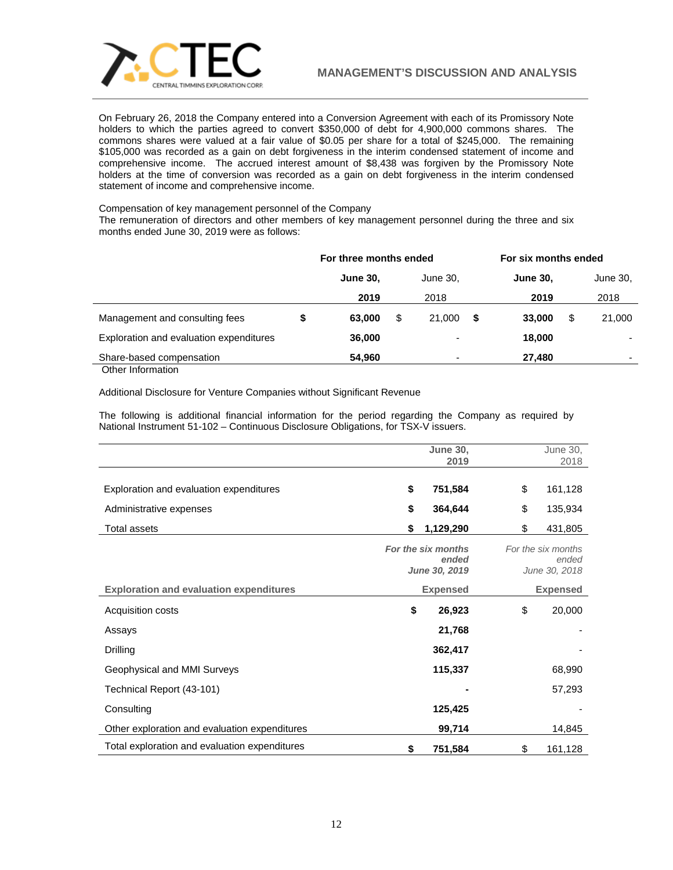

On February 26, 2018 the Company entered into a Conversion Agreement with each of its Promissory Note holders to which the parties agreed to convert \$350,000 of debt for 4,900,000 commons shares. The commons shares were valued at a fair value of \$0.05 per share for a total of \$245,000. The remaining \$105,000 was recorded as a gain on debt forgiveness in the interim condensed statement of income and comprehensive income. The accrued interest amount of \$8,438 was forgiven by the Promissory Note holders at the time of conversion was recorded as a gain on debt forgiveness in the interim condensed statement of income and comprehensive income.

Compensation of key management personnel of the Company

The remuneration of directors and other members of key management personnel during the three and six months ended June 30, 2019 were as follows:

|                                         | For three months ended |    |                          |   | For six months ended |    |                          |
|-----------------------------------------|------------------------|----|--------------------------|---|----------------------|----|--------------------------|
|                                         | <b>June 30,</b>        |    | June 30.                 |   | <b>June 30,</b>      |    | June 30,                 |
|                                         | 2019                   |    | 2018                     |   | 2019                 |    | 2018                     |
| Management and consulting fees          | \$<br>63,000           | \$ | 21.000                   | S | 33,000               | \$ | 21,000                   |
| Exploration and evaluation expenditures | 36,000                 |    | $\overline{\phantom{0}}$ |   | 18,000               |    |                          |
| Share-based compensation                | 54,960                 |    | $\overline{\phantom{0}}$ |   | 27,480               |    | $\overline{\phantom{0}}$ |
| Other Information                       |                        |    |                          |   |                      |    |                          |

Additional Disclosure for Venture Companies without Significant Revenue

The following is additional financial information for the period regarding the Company as required by National Instrument 51-102 – Continuous Disclosure Obligations, for TSX-V issuers.

|                                                | <b>June 30,</b><br>2019                      | June 30,<br>2018                             |
|------------------------------------------------|----------------------------------------------|----------------------------------------------|
|                                                |                                              |                                              |
| Exploration and evaluation expenditures        | \$<br>751,584                                | \$<br>161,128                                |
| Administrative expenses                        | \$<br>364,644                                | \$<br>135,934                                |
| <b>Total assets</b>                            | \$<br>1,129,290                              | \$<br>431,805                                |
|                                                | For the six months<br>ended<br>June 30, 2019 | For the six months<br>ended<br>June 30, 2018 |
| <b>Exploration and evaluation expenditures</b> | <b>Expensed</b>                              | <b>Expensed</b>                              |
| Acquisition costs                              | \$<br>26,923                                 | \$<br>20,000                                 |
| Assays                                         | 21,768                                       |                                              |
| Drilling                                       | 362,417                                      |                                              |
| Geophysical and MMI Surveys                    | 115,337                                      | 68,990                                       |
| Technical Report (43-101)                      |                                              | 57,293                                       |
| Consulting                                     | 125,425                                      |                                              |
| Other exploration and evaluation expenditures  | 99,714                                       | 14,845                                       |
| Total exploration and evaluation expenditures  | \$<br>751,584                                | \$<br>161,128                                |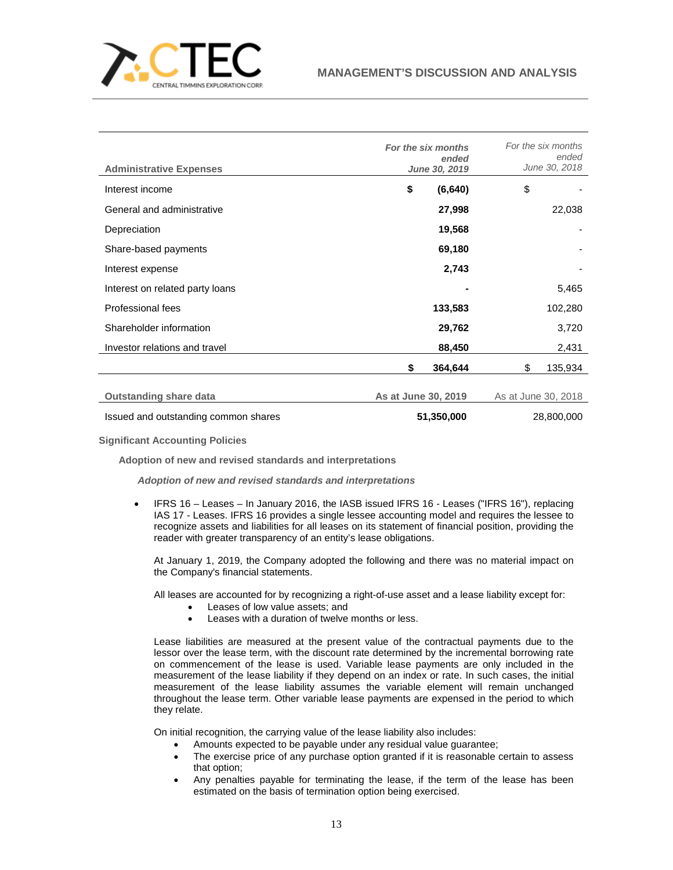

| <b>Administrative Expenses</b>       | For the six months<br>ended<br>June 30, 2019 | For the six months<br>ended<br>June 30, 2018 |
|--------------------------------------|----------------------------------------------|----------------------------------------------|
| Interest income                      | \$<br>(6, 640)                               | \$                                           |
| General and administrative           | 27,998                                       | 22,038                                       |
| Depreciation                         | 19,568                                       |                                              |
| Share-based payments                 | 69,180                                       |                                              |
| Interest expense                     | 2,743                                        |                                              |
| Interest on related party loans      |                                              | 5,465                                        |
| Professional fees                    | 133,583                                      | 102,280                                      |
| Shareholder information              | 29,762                                       | 3,720                                        |
| Investor relations and travel        | 88,450                                       | 2,431                                        |
|                                      | \$<br>364,644                                | \$<br>135,934                                |
| <b>Outstanding share data</b>        | As at June 30, 2019                          | As at June 30, 2018                          |
| Issued and outstanding common shares | 51,350,000                                   | 28,800,000                                   |

**Significant Accounting Policies**

**Adoption of new and revised standards and interpretations**

*Adoption of new and revised standards and interpretations*

• IFRS 16 – Leases – In January 2016, the IASB issued IFRS 16 - Leases ("IFRS 16"), replacing IAS 17 - Leases. IFRS 16 provides a single lessee accounting model and requires the lessee to recognize assets and liabilities for all leases on its statement of financial position, providing the reader with greater transparency of an entity's lease obligations.

At January 1, 2019, the Company adopted the following and there was no material impact on the Company's financial statements.

All leases are accounted for by recognizing a right-of-use asset and a lease liability except for:

- Leases of low value assets; and
- Leases with a duration of twelve months or less.

Lease liabilities are measured at the present value of the contractual payments due to the lessor over the lease term, with the discount rate determined by the incremental borrowing rate on commencement of the lease is used. Variable lease payments are only included in the measurement of the lease liability if they depend on an index or rate. In such cases, the initial measurement of the lease liability assumes the variable element will remain unchanged throughout the lease term. Other variable lease payments are expensed in the period to which they relate.

On initial recognition, the carrying value of the lease liability also includes:

- Amounts expected to be payable under any residual value guarantee;
- The exercise price of any purchase option granted if it is reasonable certain to assess that option;
- Any penalties payable for terminating the lease, if the term of the lease has been estimated on the basis of termination option being exercised.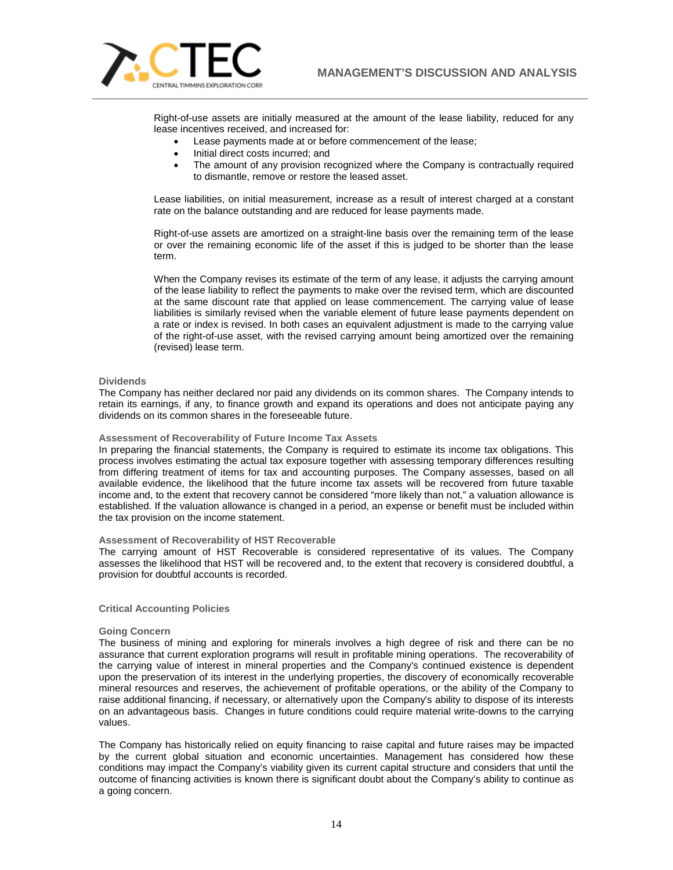

Right-of-use assets are initially measured at the amount of the lease liability, reduced for any lease incentives received, and increased for:

- Lease payments made at or before commencement of the lease;
- Initial direct costs incurred; and
- The amount of any provision recognized where the Company is contractually required to dismantle, remove or restore the leased asset.

Lease liabilities, on initial measurement, increase as a result of interest charged at a constant rate on the balance outstanding and are reduced for lease payments made.

Right-of-use assets are amortized on a straight-line basis over the remaining term of the lease or over the remaining economic life of the asset if this is judged to be shorter than the lease term.

When the Company revises its estimate of the term of any lease, it adjusts the carrying amount of the lease liability to reflect the payments to make over the revised term, which are discounted at the same discount rate that applied on lease commencement. The carrying value of lease liabilities is similarly revised when the variable element of future lease payments dependent on a rate or index is revised. In both cases an equivalent adjustment is made to the carrying value of the right-of-use asset, with the revised carrying amount being amortized over the remaining (revised) lease term.

## **Dividends**

The Company has neither declared nor paid any dividends on its common shares. The Company intends to retain its earnings, if any, to finance growth and expand its operations and does not anticipate paying any dividends on its common shares in the foreseeable future.

## **Assessment of Recoverability of Future Income Tax Assets**

In preparing the financial statements, the Company is required to estimate its income tax obligations. This process involves estimating the actual tax exposure together with assessing temporary differences resulting from differing treatment of items for tax and accounting purposes. The Company assesses, based on all available evidence, the likelihood that the future income tax assets will be recovered from future taxable income and, to the extent that recovery cannot be considered "more likely than not," a valuation allowance is established. If the valuation allowance is changed in a period, an expense or benefit must be included within the tax provision on the income statement.

#### **Assessment of Recoverability of HST Recoverable**

The carrying amount of HST Recoverable is considered representative of its values. The Company assesses the likelihood that HST will be recovered and, to the extent that recovery is considered doubtful, a provision for doubtful accounts is recorded.

#### **Critical Accounting Policies**

#### **Going Concern**

The business of mining and exploring for minerals involves a high degree of risk and there can be no assurance that current exploration programs will result in profitable mining operations. The recoverability of the carrying value of interest in mineral properties and the Company's continued existence is dependent upon the preservation of its interest in the underlying properties, the discovery of economically recoverable mineral resources and reserves, the achievement of profitable operations, or the ability of the Company to raise additional financing, if necessary, or alternatively upon the Company's ability to dispose of its interests on an advantageous basis. Changes in future conditions could require material write-downs to the carrying values.

The Company has historically relied on equity financing to raise capital and future raises may be impacted by the current global situation and economic uncertainties. Management has considered how these conditions may impact the Company's viability given its current capital structure and considers that until the outcome of financing activities is known there is significant doubt about the Company's ability to continue as a going concern.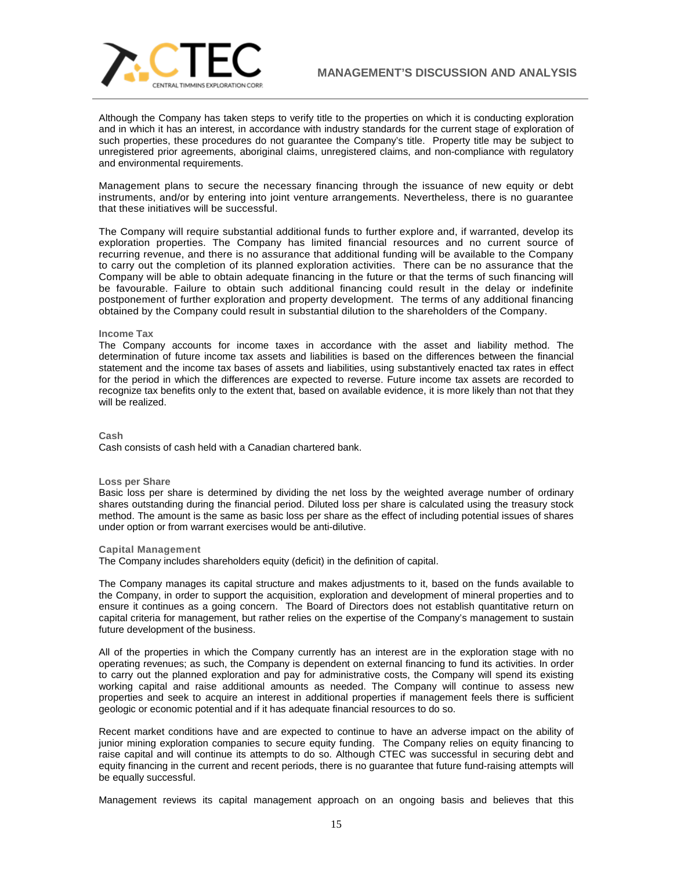

Although the Company has taken steps to verify title to the properties on which it is conducting exploration and in which it has an interest, in accordance with industry standards for the current stage of exploration of such properties, these procedures do not guarantee the Company's title. Property title may be subject to unregistered prior agreements, aboriginal claims, unregistered claims, and non-compliance with regulatory and environmental requirements.

Management plans to secure the necessary financing through the issuance of new equity or debt instruments, and/or by entering into joint venture arrangements. Nevertheless, there is no guarantee that these initiatives will be successful.

The Company will require substantial additional funds to further explore and, if warranted, develop its exploration properties. The Company has limited financial resources and no current source of recurring revenue, and there is no assurance that additional funding will be available to the Company to carry out the completion of its planned exploration activities. There can be no assurance that the Company will be able to obtain adequate financing in the future or that the terms of such financing will be favourable. Failure to obtain such additional financing could result in the delay or indefinite postponement of further exploration and property development. The terms of any additional financing obtained by the Company could result in substantial dilution to the shareholders of the Company.

### **Income Tax**

The Company accounts for income taxes in accordance with the asset and liability method. The determination of future income tax assets and liabilities is based on the differences between the financial statement and the income tax bases of assets and liabilities, using substantively enacted tax rates in effect for the period in which the differences are expected to reverse. Future income tax assets are recorded to recognize tax benefits only to the extent that, based on available evidence, it is more likely than not that they will be realized.

**Cash**

Cash consists of cash held with a Canadian chartered bank.

#### **Loss per Share**

Basic loss per share is determined by dividing the net loss by the weighted average number of ordinary shares outstanding during the financial period. Diluted loss per share is calculated using the treasury stock method. The amount is the same as basic loss per share as the effect of including potential issues of shares under option or from warrant exercises would be anti-dilutive.

## **Capital Management**

The Company includes shareholders equity (deficit) in the definition of capital.

The Company manages its capital structure and makes adjustments to it, based on the funds available to the Company, in order to support the acquisition, exploration and development of mineral properties and to ensure it continues as a going concern. The Board of Directors does not establish quantitative return on capital criteria for management, but rather relies on the expertise of the Company's management to sustain future development of the business.

All of the properties in which the Company currently has an interest are in the exploration stage with no operating revenues; as such, the Company is dependent on external financing to fund its activities. In order to carry out the planned exploration and pay for administrative costs, the Company will spend its existing working capital and raise additional amounts as needed. The Company will continue to assess new properties and seek to acquire an interest in additional properties if management feels there is sufficient geologic or economic potential and if it has adequate financial resources to do so.

Recent market conditions have and are expected to continue to have an adverse impact on the ability of junior mining exploration companies to secure equity funding. The Company relies on equity financing to raise capital and will continue its attempts to do so. Although CTEC was successful in securing debt and equity financing in the current and recent periods, there is no guarantee that future fund-raising attempts will be equally successful.

Management reviews its capital management approach on an ongoing basis and believes that this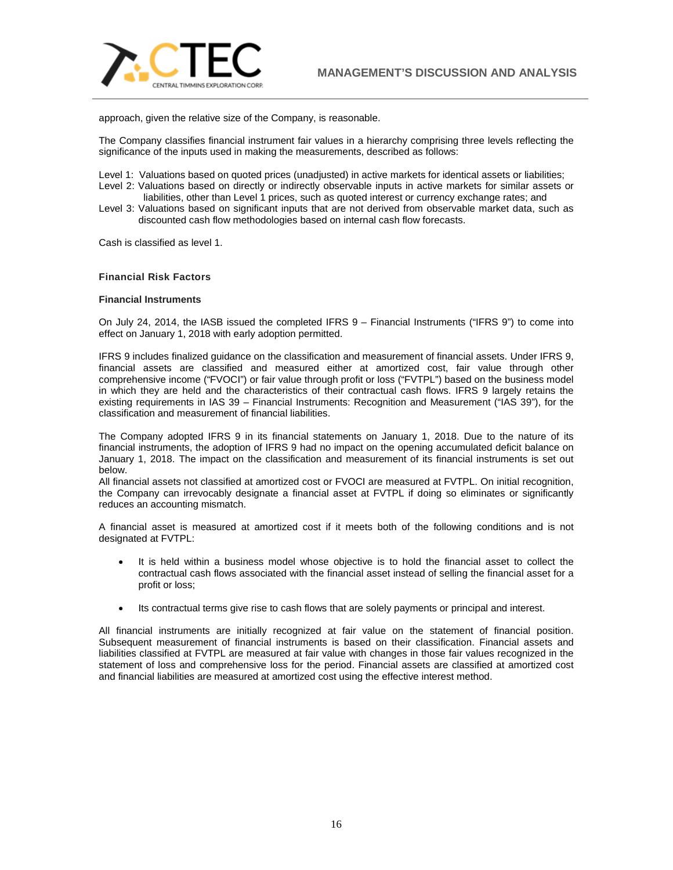

approach, given the relative size of the Company, is reasonable.

The Company classifies financial instrument fair values in a hierarchy comprising three levels reflecting the significance of the inputs used in making the measurements, described as follows:

Level 1: Valuations based on quoted prices (unadjusted) in active markets for identical assets or liabilities;

- Level 2: Valuations based on directly or indirectly observable inputs in active markets for similar assets or liabilities, other than Level 1 prices, such as quoted interest or currency exchange rates; and
- Level 3: Valuations based on significant inputs that are not derived from observable market data, such as discounted cash flow methodologies based on internal cash flow forecasts.

Cash is classified as level 1.

## **Financial Risk Factors**

#### **Financial Instruments**

On July 24, 2014, the IASB issued the completed IFRS 9 – Financial Instruments ("IFRS 9") to come into effect on January 1, 2018 with early adoption permitted.

IFRS 9 includes finalized guidance on the classification and measurement of financial assets. Under IFRS 9, financial assets are classified and measured either at amortized cost, fair value through other comprehensive income ("FVOCI") or fair value through profit or loss ("FVTPL") based on the business model in which they are held and the characteristics of their contractual cash flows. IFRS 9 largely retains the existing requirements in IAS 39 – Financial Instruments: Recognition and Measurement ("IAS 39"), for the classification and measurement of financial liabilities.

The Company adopted IFRS 9 in its financial statements on January 1, 2018. Due to the nature of its financial instruments, the adoption of IFRS 9 had no impact on the opening accumulated deficit balance on January 1, 2018. The impact on the classification and measurement of its financial instruments is set out below.

All financial assets not classified at amortized cost or FVOCI are measured at FVTPL. On initial recognition, the Company can irrevocably designate a financial asset at FVTPL if doing so eliminates or significantly reduces an accounting mismatch.

A financial asset is measured at amortized cost if it meets both of the following conditions and is not designated at FVTPL:

- It is held within a business model whose objective is to hold the financial asset to collect the contractual cash flows associated with the financial asset instead of selling the financial asset for a profit or loss;
- Its contractual terms give rise to cash flows that are solely payments or principal and interest.

All financial instruments are initially recognized at fair value on the statement of financial position. Subsequent measurement of financial instruments is based on their classification. Financial assets and liabilities classified at FVTPL are measured at fair value with changes in those fair values recognized in the statement of loss and comprehensive loss for the period. Financial assets are classified at amortized cost and financial liabilities are measured at amortized cost using the effective interest method.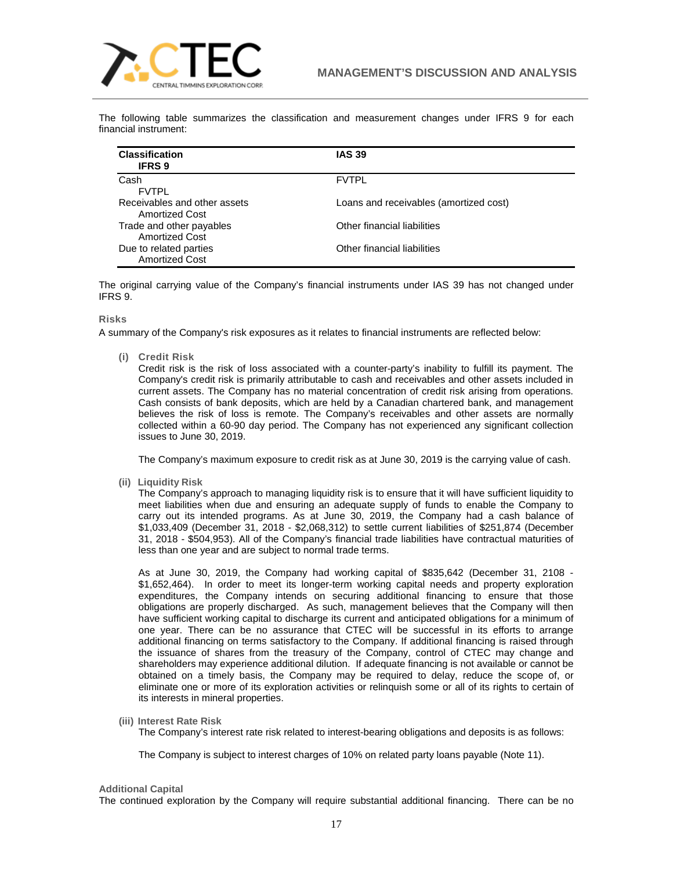

The following table summarizes the classification and measurement changes under IFRS 9 for each financial instrument:

| <b>Classification</b><br><b>IFRS 9</b>                | <b>IAS 39</b>                          |
|-------------------------------------------------------|----------------------------------------|
| Cash<br><b>FVTPL</b>                                  | <b>FVTPL</b>                           |
| Receivables and other assets<br><b>Amortized Cost</b> | Loans and receivables (amortized cost) |
| Trade and other payables<br><b>Amortized Cost</b>     | Other financial liabilities            |
| Due to related parties<br><b>Amortized Cost</b>       | Other financial liabilities            |

The original carrying value of the Company's financial instruments under IAS 39 has not changed under IFRS 9.

## **Risks**

A summary of the Company's risk exposures as it relates to financial instruments are reflected below:

**(i) Credit Risk**

Credit risk is the risk of loss associated with a counter-party's inability to fulfill its payment. The Company's credit risk is primarily attributable to cash and receivables and other assets included in current assets. The Company has no material concentration of credit risk arising from operations. Cash consists of bank deposits, which are held by a Canadian chartered bank, and management believes the risk of loss is remote. The Company's receivables and other assets are normally collected within a 60-90 day period. The Company has not experienced any significant collection issues to June 30, 2019.

The Company's maximum exposure to credit risk as at June 30, 2019 is the carrying value of cash.

**(ii) Liquidity Risk**

The Company's approach to managing liquidity risk is to ensure that it will have sufficient liquidity to meet liabilities when due and ensuring an adequate supply of funds to enable the Company to carry out its intended programs. As at June 30, 2019, the Company had a cash balance of \$1,033,409 (December 31, 2018 - \$2,068,312) to settle current liabilities of \$251,874 (December 31, 2018 - \$504,953). All of the Company's financial trade liabilities have contractual maturities of less than one year and are subject to normal trade terms.

As at June 30, 2019, the Company had working capital of \$835,642 (December 31, 2108 - \$1,652,464). In order to meet its longer-term working capital needs and property exploration expenditures, the Company intends on securing additional financing to ensure that those obligations are properly discharged. As such, management believes that the Company will then have sufficient working capital to discharge its current and anticipated obligations for a minimum of one year. There can be no assurance that CTEC will be successful in its efforts to arrange additional financing on terms satisfactory to the Company. If additional financing is raised through the issuance of shares from the treasury of the Company, control of CTEC may change and shareholders may experience additional dilution. If adequate financing is not available or cannot be obtained on a timely basis, the Company may be required to delay, reduce the scope of, or eliminate one or more of its exploration activities or relinquish some or all of its rights to certain of its interests in mineral properties.

**(iii) Interest Rate Risk**

The Company's interest rate risk related to interest-bearing obligations and deposits is as follows:

The Company is subject to interest charges of 10% on related party loans payable (Note 11).

## **Additional Capital**

The continued exploration by the Company will require substantial additional financing. There can be no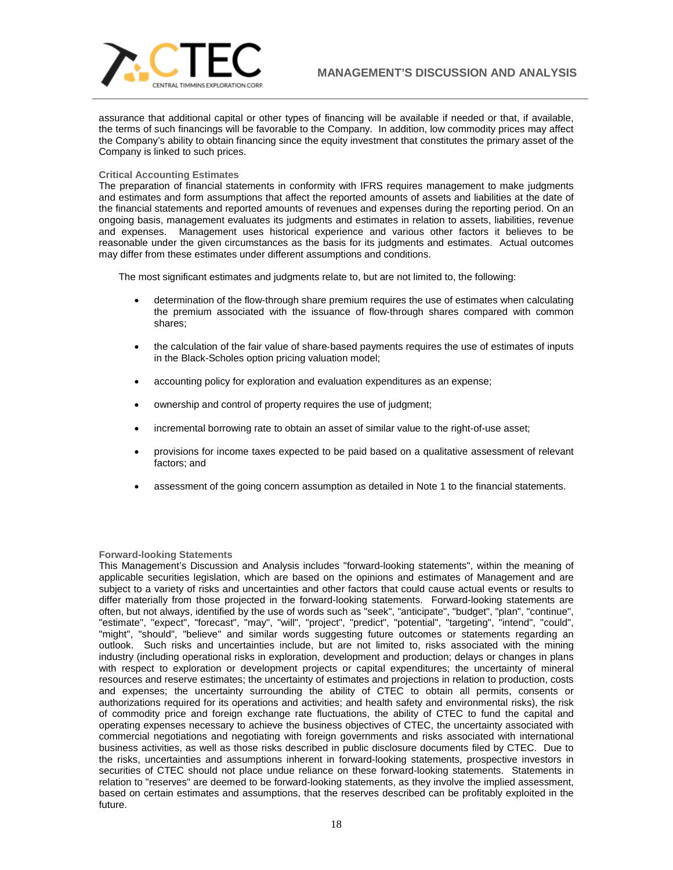

assurance that additional capital or other types of financing will be available if needed or that, if available, the terms of such financings will be favorable to the Company. In addition, low commodity prices may affect the Company's ability to obtain financing since the equity investment that constitutes the primary asset of the Company is linked to such prices.

## **Critical Accounting Estimates**

The preparation of financial statements in conformity with IFRS requires management to make judgments and estimates and form assumptions that affect the reported amounts of assets and liabilities at the date of the financial statements and reported amounts of revenues and expenses during the reporting period. On an ongoing basis, management evaluates its judgments and estimates in relation to assets, liabilities, revenue and expenses. Management uses historical experience and various other factors it believes to be reasonable under the given circumstances as the basis for its judgments and estimates. Actual outcomes may differ from these estimates under different assumptions and conditions.

The most significant estimates and judgments relate to, but are not limited to, the following:

- determination of the flow-through share premium requires the use of estimates when calculating the premium associated with the issuance of flow-through shares compared with common shares;
- the calculation of the fair value of share‐based payments requires the use of estimates of inputs in the Black-Scholes option pricing valuation model;
- accounting policy for exploration and evaluation expenditures as an expense;
- ownership and control of property requires the use of judgment;
- incremental borrowing rate to obtain an asset of similar value to the right-of-use asset;
- provisions for income taxes expected to be paid based on a qualitative assessment of relevant factors; and
- assessment of the going concern assumption as detailed in Note 1 to the financial statements.

# **Forward-looking Statements**

This Management's Discussion and Analysis includes "forward-looking statements", within the meaning of applicable securities legislation, which are based on the opinions and estimates of Management and are subject to a variety of risks and uncertainties and other factors that could cause actual events or results to differ materially from those projected in the forward-looking statements. Forward-looking statements are often, but not always, identified by the use of words such as "seek", "anticipate", "budget", "plan", "continue", "estimate", "expect", "forecast", "may", "will", "project", "predict", "potential", "targeting", "intend", "could", "might", "should", "believe" and similar words suggesting future outcomes or statements regarding an outlook. Such risks and uncertainties include, but are not limited to, risks associated with the mining industry (including operational risks in exploration, development and production; delays or changes in plans with respect to exploration or development projects or capital expenditures; the uncertainty of mineral resources and reserve estimates; the uncertainty of estimates and projections in relation to production, costs and expenses; the uncertainty surrounding the ability of CTEC to obtain all permits, consents or authorizations required for its operations and activities; and health safety and environmental risks), the risk of commodity price and foreign exchange rate fluctuations, the ability of CTEC to fund the capital and operating expenses necessary to achieve the business objectives of CTEC, the uncertainty associated with commercial negotiations and negotiating with foreign governments and risks associated with international business activities, as well as those risks described in public disclosure documents filed by CTEC. Due to the risks, uncertainties and assumptions inherent in forward-looking statements, prospective investors in securities of CTEC should not place undue reliance on these forward-looking statements. Statements in relation to "reserves" are deemed to be forward-looking statements, as they involve the implied assessment, based on certain estimates and assumptions, that the reserves described can be profitably exploited in the future.